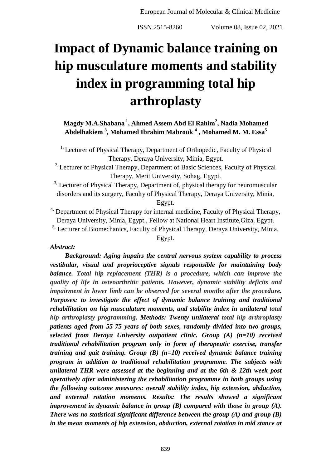# **Impact of Dynamic balance training on hip musculature moments and stability index in programming total hip arthroplasty**

**Magdy M.A.Shabana <sup>1</sup> , Ahmed Assem Abd El Rahim<sup>2</sup> , Nadia Mohamed Abdelhakiem <sup>3</sup> , Mohamed Ibrahim Mabrouk <sup>4</sup> , Mohamed M. M. Essa<sup>5</sup>**

<sup>1,</sup> Lecturer of Physical Therapy, Department of Orthopedic, Faculty of Physical Therapy, Deraya University, Minia, Egypt.

<sup>2,</sup> Lecturer of Physical Therapy, Department of Basic Sciences, Faculty of Physical Therapy, Merit University, Sohag, Egypt.

<sup>3,</sup> Lecturer of Physical Therapy, Department of, physical therapy for neuromuscular disorders and its surgery, Faculty of Physical Therapy, Deraya University, Minia, Egypt.

 $4$ , Department of Physical Therapy for internal medicine, Faculty of Physical Therapy, Deraya University, Minia, Egypt., Fellow at National Heart Institute,Giza, Egypt.

<sup>5,</sup> Lecturer of Biomechanics, Faculty of Physical Therapy, Deraya University, Minia,

Egypt.

# *Abstract:*

 *Background: Aging impairs the central nervous system capability to process vestibular, visual and proprioceptive signals responsible for maintaining body balance. Total hip replacement (THR) is a procedure, which can improve the quality of life in osteoarthritic patients. However, dynamic stability deficits and impairment in lower limb can be observed for several months after the procedure. Purposes: to investigate the effect of dynamic balance training and traditional rehabilitation on hip musculature moments, and stability index in unilateral total hip arthroplasty programming. Methods: Twenty unilateral total hip arthroplasty patients aged from 55-75 years of both sexes, randomly divided into two groups, selected from Deraya University outpatient clinic. Group (A) (n=10) received traditional rehabilitation program only in form of therapeutic exercise, transfer training and gait training. Group (B) (n=10) received dynamic balance training program in addition to traditional rehabilitation programme. The subjects with unilateral THR were assessed at the beginning and at the 6th & 12th week post operatively after administering the rehabilitation programme in both groups using the following outcome measures: overall stability index, hip extension, abduction, and external rotation moments. Results: The results showed a significant improvement in dynamic balance in group (B) compared with those in group (A). There was no statistical significant difference between the group (A) and group (B) in the mean moments of hip extension, abduction, external rotation in mid stance at*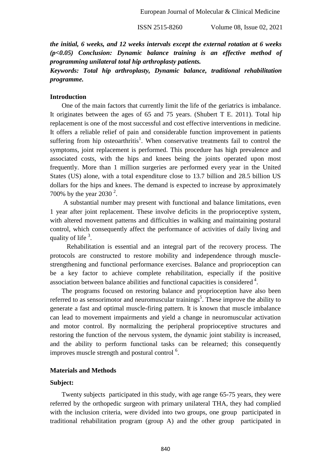*the initial, 6 weeks, and 12 weeks intervals except the external rotation at 6 weeks (p<0.05) Conclusion: Dynamic balance training is an effective method of programming unilateral total hip arthroplasty patients.*

# *Keywords: Total hip arthroplasty, Dynamic balance, traditional rehabilitation programme.*

#### **Introduction**

 One of the main factors that currently limit the life of the geriatrics is imbalance. It originates between the ages of 65 and 75 years. (Shubert T E. 2011). Total hip replacement is one of the most successful and cost effective interventions in medicine. It offers a reliable relief of pain and considerable function improvement in patients suffering from hip osteoarthritis<sup>1</sup>. When conservative treatments fail to control the symptoms, joint replacement is performed. This procedure has high prevalence and associated costs, with the hips and knees being the joints operated upon most frequently. More than 1 million surgeries are performed every year in the United States (US) alone, with a total expenditure close to 13.7 billion and 28.5 billion US dollars for the hips and knees. The demand is expected to increase by approximately 700% by the year 2030<sup>2</sup>.

 A substantial number may present with functional and balance limitations, even 1 year after joint replacement. These involve deficits in the proprioceptive system, with altered movement patterns and difficulties in walking and maintaining postural control, which consequently affect the performance of activities of daily living and quality of life  $3$ .

 Rehabilitation is essential and an integral part of the recovery process. The protocols are constructed to restore mobility and independence through musclestrengthening and functional performance exercises. Balance and proprioception can be a key factor to achieve complete rehabilitation, especially if the positive association between balance abilities and functional capacities is considered  $4$ .

 The programs focused on restoring balance and proprioception have also been referred to as sensorimotor and neuromuscular trainings<sup>5</sup>. These improve the ability to generate a fast and optimal muscle-firing pattern. It is known that muscle imbalance can lead to movement impairments and yield a change in neuromuscular activation and motor control. By normalizing the peripheral proprioceptive structures and restoring the function of the nervous system, the dynamic joint stability is increased, and the ability to perform functional tasks can be relearned; this consequently improves muscle strength and postural control  $6$ .

#### **Materials and Methods**

#### **Subject:**

 Twenty subjects participated in this study, with age range 65-75 years, they were referred by the orthopedic surgeon with primary unilateral THA, they had complied with the inclusion criteria, were divided into two groups, one group participated in traditional rehabilitation program (group A) and the other group participated in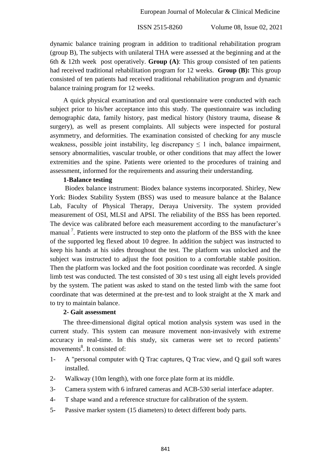dynamic balance training program in addition to traditional rehabilitation program (group B), The subjects with unilateral THA were assessed at the beginning and at the 6th & 12th week post operatively. **Group (A)**: This group consisted of ten patients had received traditional rehabilitation program for 12 weeks. **Group (B):** This group consisted of ten patients had received traditional rehabilitation program and dynamic balance training program for 12 weeks.

 A quick physical examination and oral questionnaire were conducted with each subject prior to his/her acceptance into this study. The questionnaire was including demographic data, family history, past medical history (history trauma, disease & surgery), as well as present complaints. All subjects were inspected for postural asymmetry, and deformities. The examination consisted of checking for any muscle weakness, possible joint instability, leg discrepancy  $\leq 1$  inch, balance impairment, sensory abnormalities, vascular trouble, or other conditions that may affect the lower extremities and the spine. Patients were oriented to the procedures of training and assessment, informed for the requirements and assuring their understanding.

# **1-Balance testing**

 Biodex balance instrument: Biodex balance systems incorporated. Shirley, New York: Biodex Stability System (BSS) was used to measure balance at the Balance Lab, Faculty of Physical Therapy, Deraya University. The system provided measurement of OSI, MLSI and APSI. The reliability of the BSS has been reported. The device was calibrated before each measurement according to the manufacturer's manual<sup>7</sup>. Patients were instructed to step onto the platform of the BSS with the knee of the supported leg flexed about 10 degree. In addition the subject was instructed to keep his hands at his sides throughout the test. The platform was unlocked and the subject was instructed to adjust the foot position to a comfortable stable position. Then the platform was locked and the foot position coordinate was recorded. A single limb test was conducted. The test consisted of 30 s test using all eight levels provided by the system. The patient was asked to stand on the tested limb with the same foot coordinate that was determined at the pre-test and to look straight at the X mark and to try to maintain balance.

#### **2- Gait assessment**

 The three-dimensional digital optical motion analysis system was used in the current study. This system can measure movement non-invasively with extreme accuracy in real-time. In this study, six cameras were set to record patients' movements<sup>8</sup>. It consisted of:

- 1- A "personal computer with Q Trac captures, Q Trac view, and Q gail soft wares installed.
- 2- Walkway (10m length), with one force plate form at its middle.
- 3- Camera system with 6 infrared cameras and ACB-530 serial interface adapter.
- 4- T shape wand and a reference structure for calibration of the system.
- 5- Passive marker system (15 diameters) to detect different body parts.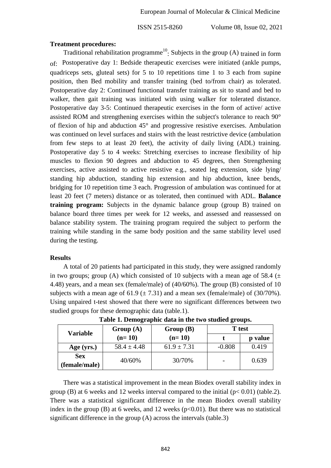#### **Treatment procedures:**

Traditional rehabilitation programme<sup>10</sup>: Subjects in the group (A) trained in form of: Postoperative day 1: Bedside therapeutic exercises were initiated (ankle pumps, quadriceps sets, gluteal sets) for 5 to 10 repetitions time 1 to 3 each from supine position, then Bed mobility and transfer training (bed to/from chair) as tolerated. Postoperative day 2: Continued functional transfer training as sit to stand and bed to walker, then gait training was initiated with using walker for tolerated distance. Postoperative day 3-5: Continued therapeutic exercises in the form of active/ active assisted ROM and strengthening exercises within the subject's tolerance to reach 90° of flexion of hip and abduction 45° and progressive resistive exercises. Ambulation was continued on level surfaces and stairs with the least restrictive device (ambulation from few steps to at least 20 feet), the activity of daily living (ADL) training. Postoperative day 5 to 4 weeks: Stretching exercises to increase flexibility of hip muscles to flexion 90 degrees and abduction to 45 degrees, then Strengthening exercises, active assisted to active resistive e.g., seated leg extension, side lying/ standing hip abduction, standing hip extension and hip abduction, knee bends, bridging for 10 repetition time 3 each. Progression of ambulation was continued for at least 20 feet (7 meters) distance or as tolerated, then continued with ADL. **Balance training program:** Subjects in the dynamic balance group (group B) trained on balance board three times per week for 12 weeks, and assessed and reassessed on balance stability system. The training program required the subject to perform the training while standing in the same body position and the same stability level used during the testing.

# **Results**

 A total of 20 patients had participated in this study, they were assigned randomly in two groups; group (A) which consisted of 10 subjects with a mean age of 58.4 ( $\pm$ 4.48) years, and a mean sex (female/male) of (40/60%). The group (B) consisted of 10 subjects with a mean age of 61.9 ( $\pm$  7.31) and a mean sex (female/male) of (30/70%). Using unpaired t-test showed that there were no significant differences between two studied groups for these demographic data (table.1).

| <b>Variable</b> | Group $(A)$     | Group(B)        | <b>T</b> test |         |  |
|-----------------|-----------------|-----------------|---------------|---------|--|
|                 | $(n=10)$        | $(n=10)$        |               | p value |  |
| Age (yrs.)      | $58.4 \pm 4.48$ | $61.9 \pm 7.31$ | $-0.808$      | 0.419   |  |
| <b>Sex</b>      | 40/60%          | 30/70%          |               | 0.639   |  |
| (female/male)   |                 |                 |               |         |  |

**Table 1. Demographic data in the two studied groups.**

 There was a statistical improvement in the mean Biodex overall stability index in group (B) at 6 weeks and 12 weeks interval compared to the initial  $(p< 0.01)$  (table.2). There was a statistical significant difference in the mean Biodex overall stability index in the group (B) at 6 weeks, and 12 weeks ( $p<0.01$ ). But there was no statistical significant difference in the group (A) across the intervals (table.3)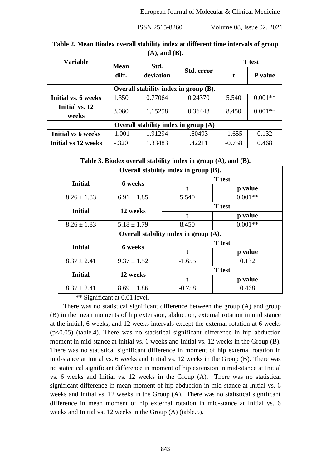| $(1 - 1)$ where $(2 - 1)$             |             |           |            |               |           |  |  |
|---------------------------------------|-------------|-----------|------------|---------------|-----------|--|--|
| <b>Variable</b>                       | <b>Mean</b> | Std.      |            | <b>T</b> test |           |  |  |
|                                       | diff.       | deviation | Std. error | t             | P value   |  |  |
| Overall stability index in group (B). |             |           |            |               |           |  |  |
| Initial vs. 6 weeks                   | 1.350       | 0.77064   | 0.24370    | 5.540         | $0.001**$ |  |  |
| Initial vs. 12<br>weeks               | 3.080       | 1.15258   | 0.36448    | 8.450         | $0.001**$ |  |  |
| Overall stability index in group (A)  |             |           |            |               |           |  |  |
| Initial vs 6 weeks                    | $-1.001$    | 1.91294   | .60493     | $-1.655$      | 0.132     |  |  |
| Initial vs 12 weeks                   | $-.320$     | 1.33483   | .42211     | $-0.758$      | 0.468     |  |  |

**Table 2. Mean Biodex overall stability index at different time intervals of group (A), and (B).**

**Table 3. Biodex overall stability index in group (A), and (B).**

| Overall stability index in group (B). |                                          |               |           |  |  |  |
|---------------------------------------|------------------------------------------|---------------|-----------|--|--|--|
| <b>Initial</b>                        | 6 weeks                                  | <b>T</b> test |           |  |  |  |
|                                       |                                          | t             | p value   |  |  |  |
| $8.26 \pm 1.83$                       | $6.91 \pm 1.85$                          | 5.540         | $0.001**$ |  |  |  |
| <b>Initial</b>                        | 12 weeks                                 | <b>T</b> test |           |  |  |  |
|                                       |                                          |               | p value   |  |  |  |
| $8.26 \pm 1.83$                       | $5.18 \pm 1.79$                          | 8.450         | $0.001**$ |  |  |  |
|                                       | Overall stability index in group $(A)$ . |               |           |  |  |  |
| <b>Initial</b>                        | 6 weeks                                  | <b>T</b> test |           |  |  |  |
|                                       |                                          | t             | p value   |  |  |  |
| $8.37 \pm 2.41$                       | $9.37 \pm 1.52$                          | $-1.655$      | 0.132     |  |  |  |
| <b>Initial</b>                        | 12 weeks                                 | <b>T</b> test |           |  |  |  |
|                                       |                                          |               | p value   |  |  |  |
| $8.37 \pm 2.41$                       | $8.69 \pm 1.86$                          | $-0.758$      | 0.468     |  |  |  |

\*\* Significant at 0.01 level.

 There was no statistical significant difference between the group (A) and group (B) in the mean moments of hip extension, abduction, external rotation in mid stance at the initial, 6 weeks, and 12 weeks intervals except the external rotation at 6 weeks  $(p<0.05)$  (table.4). There was no statistical significant difference in hip abduction moment in mid-stance at Initial vs. 6 weeks and Initial vs. 12 weeks in the Group (B). There was no statistical significant difference in moment of hip external rotation in mid-stance at Initial vs. 6 weeks and Initial vs. 12 weeks in the Group (B). There was no statistical significant difference in moment of hip extension in mid-stance at Initial vs. 6 weeks and Initial vs. 12 weeks in the Group (A).There was no statistical significant difference in mean moment of hip abduction in mid-stance at Initial vs. 6 weeks and Initial vs. 12 weeks in the Group (A). There was no statistical significant difference in mean moment of hip external rotation in mid-stance at Initial vs. 6 weeks and Initial vs. 12 weeks in the Group (A) (table.5).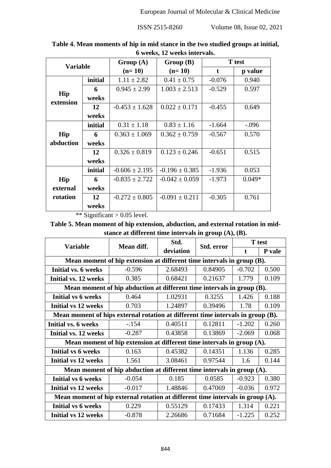| $\eta$ control $\mathbf{A}$ $\eta$ control $\eta$ and $\eta$ |         |                    |                    |          |               |  |
|--------------------------------------------------------------|---------|--------------------|--------------------|----------|---------------|--|
| <b>Variable</b>                                              |         | Group(A)           | Group(B)           |          | <b>T</b> test |  |
|                                                              |         | $(n=10)$           | $(n=10)$           | t        | p value       |  |
|                                                              | initial | $1.11 \pm 2.82$    | $0.41 \pm 0.75$    | $-0.076$ | 0.940         |  |
| Hip<br>extension                                             | 6       | $0.945 \pm 2.99$   | $1.003 \pm 2.513$  | $-0.529$ | 0.597         |  |
|                                                              | weeks   |                    |                    |          |               |  |
|                                                              | 12      | $-0.453 \pm 1.628$ | $0.022 \pm 0.171$  | $-0.455$ | 0.649         |  |
|                                                              | weeks   |                    |                    |          |               |  |
|                                                              | initial | $0.31 \pm 1.18$    | $0.83 \pm 1.16$    | $-1.664$ | $-.096$       |  |
| Hip                                                          | 6       | $0.363 \pm 1.069$  | $0.362 \pm 0.759$  | $-0.567$ | 0.570         |  |
| abduction                                                    | weeks   |                    |                    |          |               |  |
|                                                              | 12      | $0.326 \pm 0.819$  | $0.123 \pm 0.246$  | $-0.651$ | 0.515         |  |
|                                                              | weeks   |                    |                    |          |               |  |
|                                                              | initial | $-0.606 \pm 2.195$ | $-0.196 \pm 0.385$ | $-1.936$ | 0.053         |  |
| Hip                                                          | 6       | $-0.835 \pm 2.722$ | $-0.042 \pm 0.059$ | $-1.973$ | $0.049*$      |  |
| external                                                     | weeks   |                    |                    |          |               |  |
| rotation                                                     | 12      | $-0.272 \pm 0.805$ | $-0.091 \pm 0.211$ | $-0.305$ | 0.761         |  |
|                                                              | weeks   |                    |                    |          |               |  |

**Table 4. Mean moments of hip in mid stance in the two studied groups at initial, 6 weeks, 12 weeks intervals.**

\*\* Significant > 0.05 level.

# **Table 5. Mean moment of hip extension, abduction, and external rotation in midstance at different time intervals in group (A), (B).**

| <b>Variable</b>                                                                 | Mean diff. | Std.      | Std. error | <b>T</b> test |        |  |  |
|---------------------------------------------------------------------------------|------------|-----------|------------|---------------|--------|--|--|
|                                                                                 |            | deviation |            | $\mathbf t$   | P vale |  |  |
| Mean moment of hip extension at different time intervals in group (B).          |            |           |            |               |        |  |  |
| Initial vs. 6 weeks                                                             | $-0.596$   | 2.68493   | 0.84905    | $-0.702$      | 0.500  |  |  |
| Initial vs. 12 weeks                                                            | 0.385      | 0.68421   | 0.21637    | 1.779         | 0.109  |  |  |
| Mean moment of hip abduction at different time intervals in group (B).          |            |           |            |               |        |  |  |
| Initial vs 6 weeks                                                              | 0.464      | 1.02931   | 0.3255     | 1.426         | 0.188  |  |  |
| <b>Initial vs 12 weeks</b>                                                      | 0.703      | 1.24897   | 0.39496    | 1.78          | 0.109  |  |  |
| Mean moment of hips external rotation at different time intervals in group (B). |            |           |            |               |        |  |  |
| Initial vs. 6 weeks                                                             | $-154$     | 0.40511   | 0.12811    | $-1.202$      | 0.260  |  |  |
| Initial vs. 12 weeks                                                            | $-0.287$   | 0.43858   | 0.13869    | $-2.069$      | 0.068  |  |  |
| Mean moment of hip extension at different time intervals in group (A).          |            |           |            |               |        |  |  |
| Initial vs 6 weeks                                                              | 0.163      | 0.45382   | 0.14351    | 1.136         | 0.285  |  |  |
| <b>Initial vs 12 weeks</b>                                                      | 1.561      | 3.08461   | 0.97544    | 1.6           | 0.144  |  |  |
| Mean moment of hip abduction at different time intervals in group (A).          |            |           |            |               |        |  |  |
| Initial vs 6 weeks                                                              | $-0.054$   | 0.185     | 0.0585     | $-0.923$      | 0.380  |  |  |
| <b>Initial vs 12 weeks</b>                                                      | $-0.017$   | 1.48846   | 0.47069    | $-0.036$      | 0.972  |  |  |
| Mean moment of hip external rotation at different time intervals in group (A).  |            |           |            |               |        |  |  |
| Initial vs 6 weeks                                                              | 0.229      | 0.55129   | 0.17433    | 1.314         | 0.221  |  |  |
| Initial vs 12 weeks                                                             | $-0.878$   | 2.26686   | 0.71684    | $-1.225$      | 0.252  |  |  |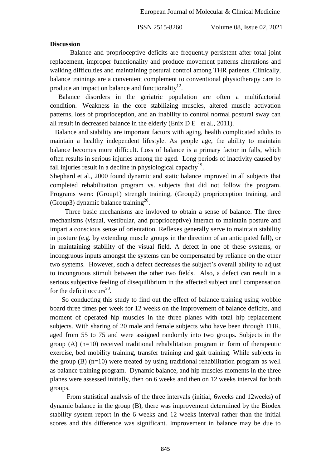#### **Discussion**

Balance and proprioceptive deficits are frequently persistent after total joint replacement, improper functionality and produce movement patterns alterations and walking difficulties and maintaining postural control among THR patients. Clinically, balance trainings are a convenient complement to conventional physiotherapy care to produce an impact on balance and functionality $^{12}$ .

 Balance disorders in the geriatric population are often a multifactorial condition. Weakness in the core stabilizing muscles, altered muscle activation patterns, loss of proprioception, and an inability to control normal postural sway can all result in decreased balance in the elderly (Enix D E et al., 2011).

Balance and stability are important factors with aging, health complicated adults to maintain a healthy independent lifestyle. As people age, the ability to maintain balance becomes more difficult. Loss of balance is a primary factor in falls, which often results in serious injuries among the aged. Long periods of inactivity caused by fall injuries result in a decline in physiological capacity $19$ .

Shephard et al., 2000 found dynamic and static balance improved in all subjects that completed rehabilitation program vs. subjects that did not follow the program. Programs were: (Group1) strength training, (Group2) proprioception training, and (Group3) dynamic balance training<sup>20</sup>.

 Three basic mechanisms are invloved to obtain a sense of balance. The three mechanisms (visual, vestibular, and proprioceptive) interact to maintain posture and impart a conscious sense of orientation. Reflexes generally serve to maintain stability in posture (e.g. by extending muscle groups in the direction of an anticipated fall), or in maintaining stability of the visual field. A defect in one of these systems, or incongruous inputs amongst the systems can be compensated by reliance on the other two systems. However, such a defect decreases the subject's overall ability to adjust to incongruous stimuli between the other two fields. Also, a defect can result in a serious subjective feeling of disequilibrium in the affected subject until compensation for the deficit occurs<sup>20</sup>.

 So conducting this study to find out the effect of balance training using wobble board three times per week for 12 weeks on the improvement of balance deficits, and moment of operated hip muscles in the three planes with total hip replacement subjects. With sharing of 20 male and female subjects who have been through THR, aged from 55 to 75 and were assigned randomly into two groups. Subjects in the group (A)  $(n=10)$  received traditional rehabilitation program in form of therapeutic exercise, bed mobility training, transfer training and gait training. While subjects in the group (B) (n=10) were treated by using traditional rehabilitation program as well as balance training program. Dynamic balance, and hip muscles moments in the three planes were assessed initially, then on 6 weeks and then on 12 weeks interval for both groups.

 From statistical analysis of the three intervals (initial, 6weeks and 12weeks) of dynamic balance in the group (B), there was improvement determined by the Biodex stability system report in the 6 weeks and 12 weeks interval rather than the initial scores and this difference was significant. Improvement in balance may be due to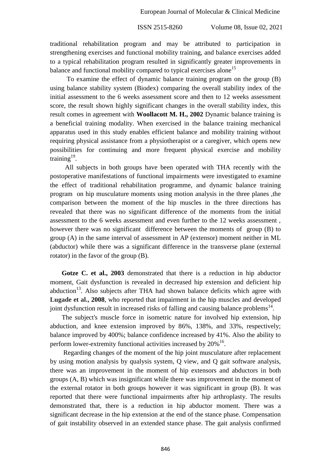traditional rehabilitation program and may be attributed to participation in strengthening exercises and functional mobility training, and balance exercises added to a typical rehabilitation program resulted in significantly greater improvements in balance and functional mobility compared to typical exercises alone<sup>15</sup>

To examine the effect of dynamic balance training program on the group (B) using balance stability system (Biodex) comparing the overall stability index of the initial assessment to the 6 weeks assessment score and then to 12 weeks assessment score, the result shown highly significant changes in the overall stability index, this result comes in agreement with **Woollacott M. H., 2002** Dynamic balance training is a beneficial training modality. When exercised in the balance training mechanical apparatus used in this study enables efficient balance and mobility training without requiring physical assistance from a physiotherapist or a caregiver, which opens new possibilities for continuing and more frequent physical exercise and mobility training $19$ .

All subjects in both groups have been operated with THA recently with the postoperative manifestations of functional impairments were investigated to examine the effect of traditional rehabilitation programme, and dynamic balance training program on hip musculature moments using motion analysis in the three planes ,the comparison between the moment of the hip muscles in the three directions has revealed that there was no significant difference of the moments from the initial assessment to the 6 weeks assessment and even further to the 12 weeks assessment , however there was no significant difference between the moments of group (B) to group (A) in the same interval of assessment in AP (extensor) moment neither in ML (abductor) while there was a significant difference in the transverse plane (external rotator) in the favor of the group (B).

 **Gotze C. et al., 2003** demonstrated that there is a reduction in hip abductor moment, Gait dysfunction is revealed in decreased hip extension and deficient hip abduction<sup>13</sup>. Also subjects after THA had shown balance deficits which agree with **Lugade et al., 2008**, who reported that impairment in the hip muscles and developed joint dysfunction result in increased risks of falling and causing balance problems $^{14}$ .

 The subject's muscle force in isometric nature for involved hip extension, hip abduction, and knee extension improved by 86%, 138%, and 33%, respectively; balance improved by 400%; balance confidence increased by 41%. Also the ability to perform lower-extremity functional activities increased by  $20\%$ <sup>16</sup>.

 Regarding changes of the moment of the hip joint musculature after replacement by using motion analysis by qualysis system, Q view, and Q gait software analysis, there was an improvement in the moment of hip extensors and abductors in both groups (A, B) which was insignificant while there was improvement in the moment of the external rotator in both groups however it was significant in group (B). It was reported that there were functional impairments after hip arthroplasty. The results demonstrated that, there is a reduction in hip abductor moment. There was a significant decrease in the hip extension at the end of the stance phase. Compensation of gait instability observed in an extended stance phase. The gait analysis confirmed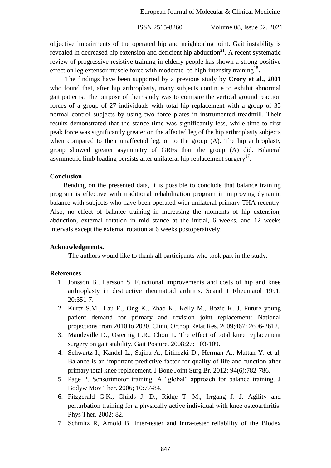objective impairments of the operated hip and neighboring joint. Gait instability is revealed in decreased hip extension and deficient hip abduction<sup>21</sup>. A recent systematic review of progressive resistive training in elderly people has shown a strong positive effect on leg extensor muscle force with moderate- to high-intensity training<sup>18</sup>.

 The findings have been supported by a previous study by **Crory et al., 2001** who found that, after hip arthroplasty, many subjects continue to exhibit abnormal gait patterns. The purpose of their study was to compare the vertical ground reaction forces of a group of 27 individuals with total hip replacement with a group of 35 normal control subjects by using two force plates in instrumented treadmill. Their results demonstrated that the stance time was significantly less, while time to first peak force was significantly greater on the affected leg of the hip arthroplasty subjects when compared to their unaffected leg, or to the group (A). The hip arthroplasty group showed greater asymmetry of GRFs than the group (A) did. Bilateral asymmetric limb loading persists after unilateral hip replacement surgery $17$ .

#### **Conclusion**

 Bending on the presented data, it is possible to conclude that balance training program is effective with traditional rehabilitation program in improving dynamic balance with subjects who have been operated with unilateral primary THA recently. Also, no effect of balance training in increasing the moments of hip extension, abduction, external rotation in mid stance at the initial, 6 weeks, and 12 weeks intervals except the external rotation at 6 weeks postoperatively.

# **Acknowledgments.**

The authors would like to thank all participants who took part in the study.

# **References**

- 1. Jonsson B., Larsson S. Functional improvements and costs of hip and knee arthroplasty in destructive rheumatoid arthritis. Scand J Rheumatol 1991; 20:351-7.
- 2. Kurtz S.M., Lau E., Ong K., Zhao K., Kelly M., Bozic K. J. Future young patient demand for primary and revision joint replacement: National projections from 2010 to 2030. Clinic Orthop Relat Res. 2009;467: 2606-2612.
- 3. Mandeville D., Osternig L.R., Chou L. The effect of total knee replacement surgery on gait stability. Gait Posture. 2008;27: 103-109.
- 4. Schwartz I., Kandel L., Sajina A., Litinezki D., Herman A., Mattan Y. et al, Balance is an important predictive factor for quality of life and function after primary total knee replacement. J Bone Joint Surg Br. 2012; 94(6):782-786.
- 5. Page P. Sensorimotor training: A "global" approach for balance training. J Bodyw Mov Ther. 2006; 10:77-84.
- 6. Fitzgerald G.K., Childs J. D., Ridge T. M., Irrgang J. J. Agility and perturbation training for a physically active individual with knee osteoarthritis. Phys Ther. 2002; 82.
- 7. Schmitz R, Arnold B. Inter-tester and intra-tester reliability of the Biodex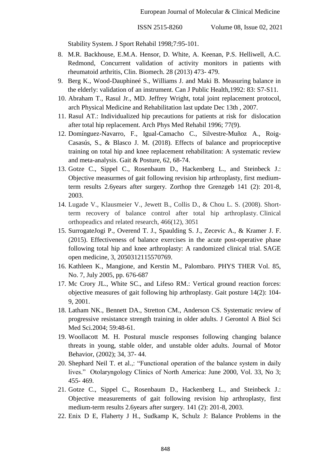Stability System. J Sport Rehabil 1998;7:95-101.

- 8. M.R. Backhouse, E.M.A. Hensor, D. White, A. Keenan, P.S. Helliwell, A.C. Redmond, Concurrent validation of activity monitors in patients with rheumatoid arthritis, Clin. Biomech. 28 (2013) 473- 479.
- 9. Berg K., Wood-Dauphineé S., Williams J. and Maki B. Measuring balance in the elderly: validation of an instrument. Can J Public Health,1992: 83: S7-S11.
- 10. Abraham T., Rasul Jr., MD. Jeffrey Wright, total joint replacement protocol, arch Physical Medicine and Rehabilitation last update Dec 13th , 2007.
- 11. Rasul AT.: Individualized hip precautions for patients at risk for dislocation after total hip replacement. Arch Phys Med Rehabil 1996; 77(9).
- 12. Domínguez-Navarro, F., Igual-Camacho C., Silvestre-Muñoz A., Roig-Casasús, S., & Blasco J. M. (2018). Effects of balance and proprioceptive training on total hip and knee replacement rehabilitation: A systematic review and meta-analysis. Gait & Posture, 62, 68-74.
- 13. Gotze C., Sippel C., Rosenbaum D., Hackenberg L., and Steinbeck J.: Objective measurmes of gait following revision hip arthroplasty, first mediumterm results 2.6years after surgery. Zorthop thre Grenzgeb 141 (2): 201-8, 2003.
- 14. Lugade V., Klausmeier V., Jewett B., Collis D., & Chou L. S. (2008). Shortterm recovery of balance control after total hip arthroplasty. Clinical orthopeadics and related research, 466(12), 3051
- 15. SurrogateJogi P., Overend T. J., Spaulding S. J., Zecevic A., & Kramer J. F. (2015). Effectiveness of balance exercises in the acute post-operative phase following total hip and knee arthroplasty: A randomized clinical trial. SAGE open medicine, 3, 2050312115570769.
- 16. Kathleen K., Mangione, and Kerstin M., Palombaro. PHYS THER Vol. 85, No. 7, July 2005, pp. 676-687
- 17. Mc Crory JL., White SC., and Lifeso RM.: Vertical ground reaction forces: objective measures of gait following hip arthroplasty. Gait posture 14(2): 104- 9, 2001.
- 18. Latham NK., Bennett DA., Stretton CM., Anderson CS. Systematic review of progressive resistance strength training in older adults. J Gerontol A Biol Sci Med Sci.2004; 59:48-61.
- 19. Woollacott M. H. Postural muscle responses following changing balance threats in young, stable older, and unstable older adults. Journal of Motor Behavior, (2002); 34, 37- 44.
- 20. Shephard Neil T. et al.,: "Functional operation of the balance system in daily lives." Otolaryngology Clinics of North America: June 2000, Vol. 33, No 3; 455- 469.
- 21. Gotze C., Sippel C., Rosenbaum D., Hackenberg L., and Steinbeck J.: Objective measurements of gait following revision hip arthroplasty, first medium-term results 2.6years after surgery. 141 (2): 201-8, 2003.
- 22. Enix D E, Flaherty J H., Sudkamp K, Schulz J: Balance Problems in the